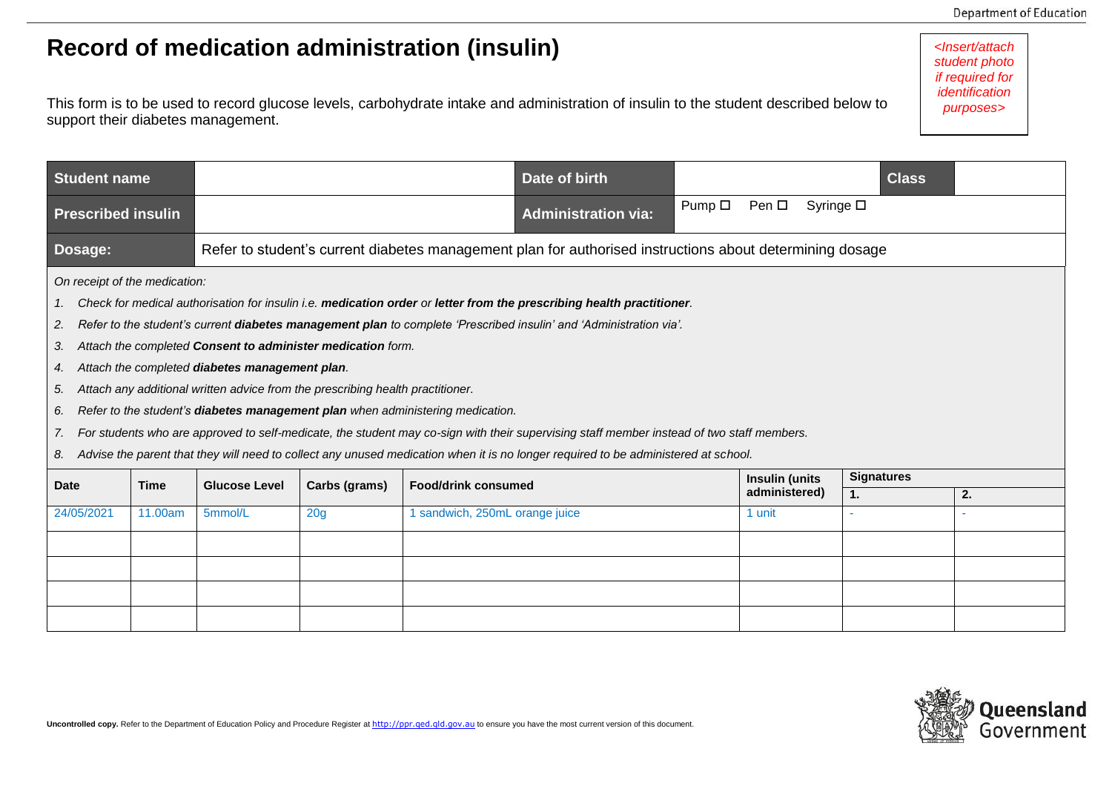*<Insert/attach student photo if required for identification purposes>*

## **Record of medication administration (insulin)**

This form is to be used to record glucose levels, carbohydrate intake and administration of insulin to the student described below to support their diabetes management.

| <b>Student name</b>                                                                                                                                                                                                                                                                                                                                                                                                                                                                                                                                                                                                                                                                                                                                                                                                                                                                                  |         |                                                                                                          |                 |                                | Date of birth              |                |                         |                   | <b>Class</b> |    |  |
|------------------------------------------------------------------------------------------------------------------------------------------------------------------------------------------------------------------------------------------------------------------------------------------------------------------------------------------------------------------------------------------------------------------------------------------------------------------------------------------------------------------------------------------------------------------------------------------------------------------------------------------------------------------------------------------------------------------------------------------------------------------------------------------------------------------------------------------------------------------------------------------------------|---------|----------------------------------------------------------------------------------------------------------|-----------------|--------------------------------|----------------------------|----------------|-------------------------|-------------------|--------------|----|--|
| <b>Prescribed insulin</b>                                                                                                                                                                                                                                                                                                                                                                                                                                                                                                                                                                                                                                                                                                                                                                                                                                                                            |         |                                                                                                          |                 |                                | <b>Administration via:</b> | Pump $\square$ | Pen □                   | Syringe $\square$ |              |    |  |
| Dosage:                                                                                                                                                                                                                                                                                                                                                                                                                                                                                                                                                                                                                                                                                                                                                                                                                                                                                              |         | Refer to student's current diabetes management plan for authorised instructions about determining dosage |                 |                                |                            |                |                         |                   |              |    |  |
| On receipt of the medication:<br>Check for medical authorisation for insulin i.e. medication order or letter from the prescribing health practitioner.<br>1.<br>Refer to the student's current diabetes management plan to complete 'Prescribed insulin' and 'Administration via'.<br>2.<br>Attach the completed Consent to administer medication form.<br>3.<br>Attach the completed diabetes management plan.<br>4.<br>Attach any additional written advice from the prescribing health practitioner.<br>5.<br>Refer to the student's diabetes management plan when administering medication.<br>6.<br>For students who are approved to self-medicate, the student may co-sign with their supervising staff member instead of two staff members.<br>7.<br>Advise the parent that they will need to collect any unused medication when it is no longer required to be administered at school.<br>8. |         |                                                                                                          |                 |                                |                            |                |                         |                   |              |    |  |
| <b>Time</b><br><b>Date</b>                                                                                                                                                                                                                                                                                                                                                                                                                                                                                                                                                                                                                                                                                                                                                                                                                                                                           |         | <b>Glucose Level</b><br>Carbs (grams)                                                                    |                 | <b>Food/drink consumed</b>     |                            | Insulin (units |                         | <b>Signatures</b> |              |    |  |
| 24/05/2021                                                                                                                                                                                                                                                                                                                                                                                                                                                                                                                                                                                                                                                                                                                                                                                                                                                                                           | 11.00am | 5mmol/L                                                                                                  | 20 <sub>g</sub> | 1 sandwich, 250mL orange juice |                            |                | administered)<br>1 unit | 1.                |              | 2. |  |
|                                                                                                                                                                                                                                                                                                                                                                                                                                                                                                                                                                                                                                                                                                                                                                                                                                                                                                      |         |                                                                                                          |                 |                                |                            |                |                         |                   |              |    |  |
|                                                                                                                                                                                                                                                                                                                                                                                                                                                                                                                                                                                                                                                                                                                                                                                                                                                                                                      |         |                                                                                                          |                 |                                |                            |                |                         |                   |              |    |  |
|                                                                                                                                                                                                                                                                                                                                                                                                                                                                                                                                                                                                                                                                                                                                                                                                                                                                                                      |         |                                                                                                          |                 |                                |                            |                |                         |                   |              |    |  |
|                                                                                                                                                                                                                                                                                                                                                                                                                                                                                                                                                                                                                                                                                                                                                                                                                                                                                                      |         |                                                                                                          |                 |                                |                            |                |                         |                   |              |    |  |